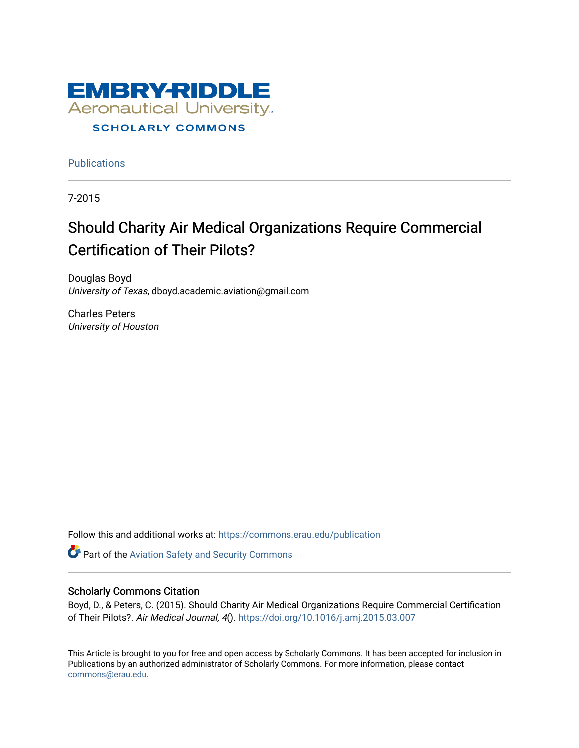

## **Publications**

7-2015

## Should Charity Air Medical Organizations Require Commercial Certification of Their Pilots?

Douglas Boyd University of Texas, dboyd.academic.aviation@gmail.com

Charles Peters University of Houston

Follow this and additional works at: [https://commons.erau.edu/publication](https://commons.erau.edu/publication?utm_source=commons.erau.edu%2Fpublication%2F1530&utm_medium=PDF&utm_campaign=PDFCoverPages) 

Part of the [Aviation Safety and Security Commons](http://network.bepress.com/hgg/discipline/1320?utm_source=commons.erau.edu%2Fpublication%2F1530&utm_medium=PDF&utm_campaign=PDFCoverPages) 

### Scholarly Commons Citation

Boyd, D., & Peters, C. (2015). Should Charity Air Medical Organizations Require Commercial Certification of Their Pilots?. Air Medical Journal, 4(). <https://doi.org/10.1016/j.amj.2015.03.007>

This Article is brought to you for free and open access by Scholarly Commons. It has been accepted for inclusion in Publications by an authorized administrator of Scholarly Commons. For more information, please contact [commons@erau.edu](mailto:commons@erau.edu).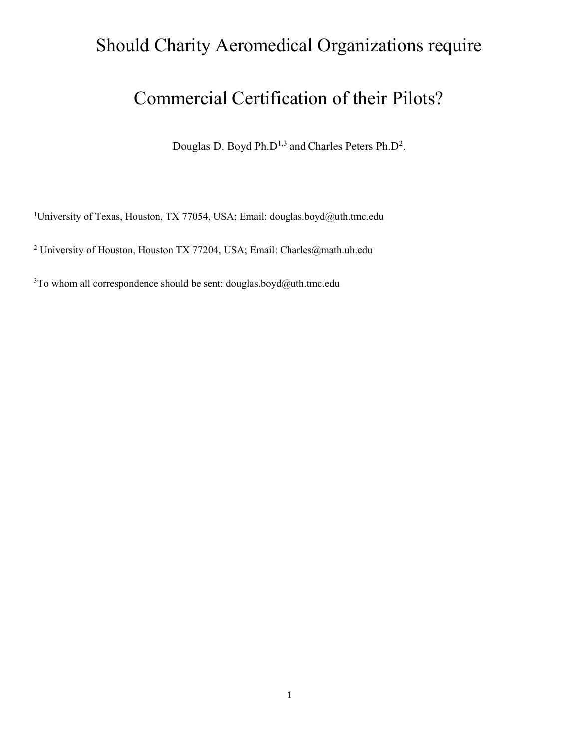## Should Charity Aeromedical Organizations require

# Commercial Certification of their Pilots?

Douglas D. Boyd Ph.D<sup>1,3</sup> and Charles Peters Ph.D<sup>2</sup>.

<sup>1</sup>University of Texas, Houston, TX 77054, USA; Email: douglas.boyd@uth.tmc.edu

<sup>2</sup> University of Houston, Houston TX 77204, USA; Email: Charles@math.uh.edu

 $3$ To whom all correspondence should be sent: douglas.boyd@uth.tmc.edu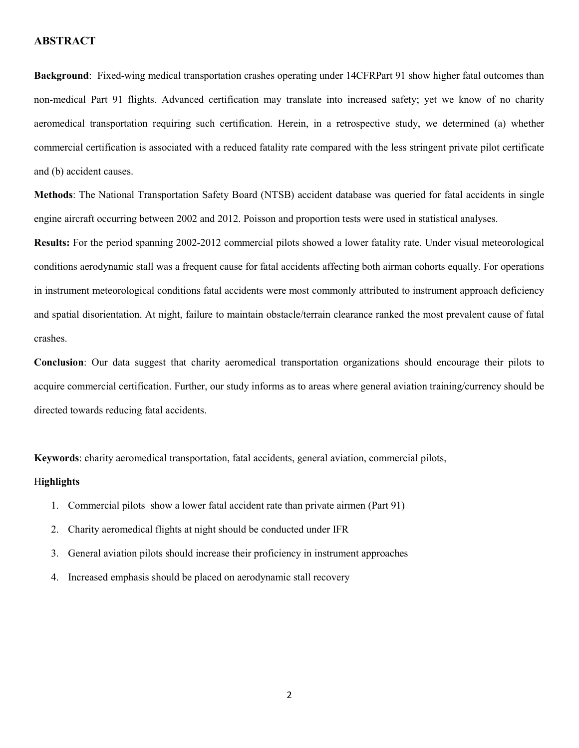#### ABSTRACT

Background: Fixed-wing medical transportation crashes operating under 14CFRPart 91 show higher fatal outcomes than non-medical Part 91 flights. Advanced certification may translate into increased safety; yet we know of no charity aeromedical transportation requiring such certification. Herein, in a retrospective study, we determined (a) whether commercial certification is associated with a reduced fatality rate compared with the less stringent private pilot certificate and (b) accident causes.

Methods: The National Transportation Safety Board (NTSB) accident database was queried for fatal accidents in single engine aircraft occurring between 2002 and 2012. Poisson and proportion tests were used in statistical analyses.

Results: For the period spanning 2002-2012 commercial pilots showed a lower fatality rate. Under visual meteorological conditions aerodynamic stall was a frequent cause for fatal accidents affecting both airman cohorts equally. For operations in instrument meteorological conditions fatal accidents were most commonly attributed to instrument approach deficiency and spatial disorientation. At night, failure to maintain obstacle/terrain clearance ranked the most prevalent cause of fatal crashes.

Conclusion: Our data suggest that charity aeromedical transportation organizations should encourage their pilots to acquire commercial certification. Further, our study informs as to areas where general aviation training/currency should be directed towards reducing fatal accidents.

Keywords: charity aeromedical transportation, fatal accidents, general aviation, commercial pilots,

#### **Highlights**

- 1. Commercial pilots show a lower fatal accident rate than private airmen (Part 91)
- 2. Charity aeromedical flights at night should be conducted under IFR
- 3. General aviation pilots should increase their proficiency in instrument approaches
- 4. Increased emphasis should be placed on aerodynamic stall recovery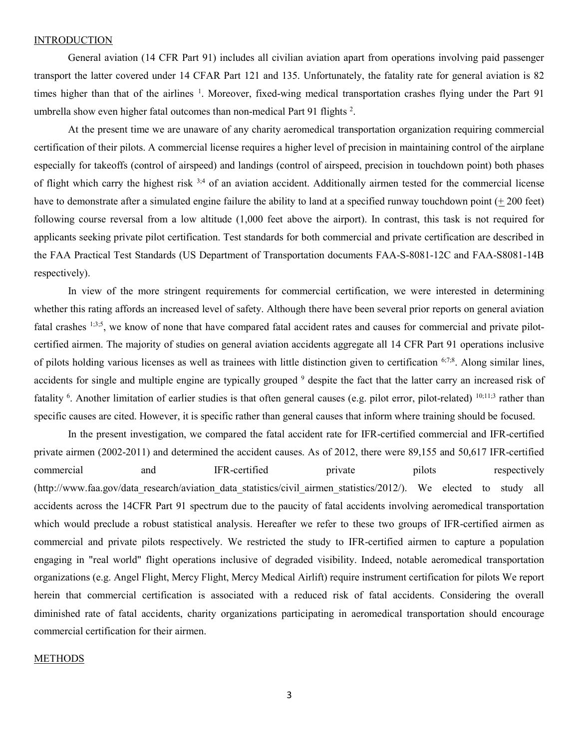#### INTRODUCTION

 General aviation (14 CFR Part 91) includes all civilian aviation apart from operations involving paid passenger transport the latter covered under 14 CFAR Part 121 and 135. Unfortunately, the fatality rate for general aviation is 82 times higher than that of the airlines <sup>1</sup>. Moreover, fixed-wing medical transportation crashes flying under the Part 91 umbrella show even higher fatal outcomes than non-medical Part 91 flights<sup>2</sup>.

 At the present time we are unaware of any charity aeromedical transportation organization requiring commercial certification of their pilots. A commercial license requires a higher level of precision in maintaining control of the airplane especially for takeoffs (control of airspeed) and landings (control of airspeed, precision in touchdown point) both phases of flight which carry the highest risk <sup>3;4</sup> of an aviation accident. Additionally airmen tested for the commercial license have to demonstrate after a simulated engine failure the ability to land at a specified runway touchdown point (+ 200 feet) following course reversal from a low altitude (1,000 feet above the airport). In contrast, this task is not required for applicants seeking private pilot certification. Test standards for both commercial and private certification are described in the FAA Practical Test Standards (US Department of Transportation documents FAA-S-8081-12C and FAA-S8081-14B respectively).

 In view of the more stringent requirements for commercial certification, we were interested in determining whether this rating affords an increased level of safety. Although there have been several prior reports on general aviation fatal crashes  $1;3;5$ , we know of none that have compared fatal accident rates and causes for commercial and private pilotcertified airmen. The majority of studies on general aviation accidents aggregate all 14 CFR Part 91 operations inclusive of pilots holding various licenses as well as trainees with little distinction given to certification 6;7;8. Along similar lines, accidents for single and multiple engine are typically grouped <sup>9</sup> despite the fact that the latter carry an increased risk of fatality<sup>6</sup>. Another limitation of earlier studies is that often general causes (e.g. pilot error, pilot-related) <sup>10;11;3</sup> rather than specific causes are cited. However, it is specific rather than general causes that inform where training should be focused.

 In the present investigation, we compared the fatal accident rate for IFR-certified commercial and IFR-certified private airmen (2002-2011) and determined the accident causes. As of 2012, there were 89,155 and 50,617 IFR-certified commercial and IFR-certified private pilots respectively (http://www.faa.gov/data\_research/aviation\_data\_statistics/civil\_airmen\_statistics/2012/). We elected to study all accidents across the 14CFR Part 91 spectrum due to the paucity of fatal accidents involving aeromedical transportation which would preclude a robust statistical analysis. Hereafter we refer to these two groups of IFR-certified airmen as commercial and private pilots respectively. We restricted the study to IFR-certified airmen to capture a population engaging in "real world" flight operations inclusive of degraded visibility. Indeed, notable aeromedical transportation organizations (e.g. Angel Flight, Mercy Flight, Mercy Medical Airlift) require instrument certification for pilots We report herein that commercial certification is associated with a reduced risk of fatal accidents. Considering the overall diminished rate of fatal accidents, charity organizations participating in aeromedical transportation should encourage commercial certification for their airmen.

#### **METHODS**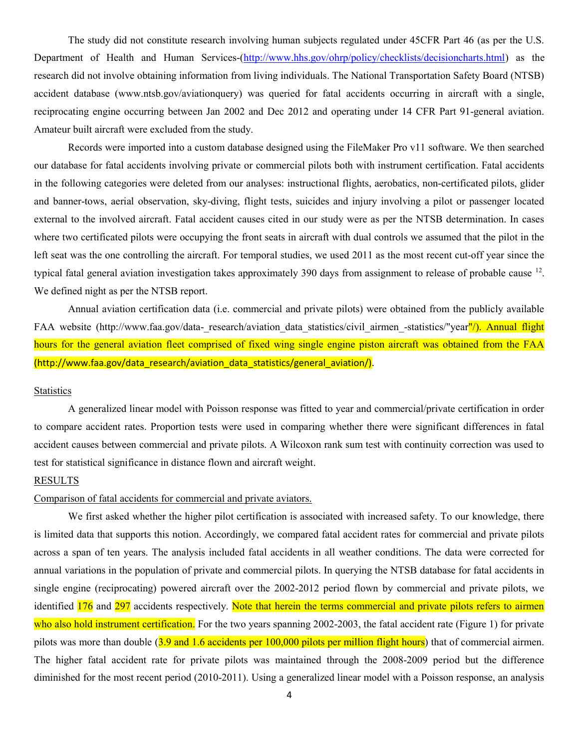The study did not constitute research involving human subjects regulated under 45CFR Part 46 (as per the U.S. Department of Health and Human Services-(http://www.hhs.gov/ohrp/policy/checklists/decisioncharts.html) as the research did not involve obtaining information from living individuals. The National Transportation Safety Board (NTSB) accident database (www.ntsb.gov/aviationquery) was queried for fatal accidents occurring in aircraft with a single, reciprocating engine occurring between Jan 2002 and Dec 2012 and operating under 14 CFR Part 91-general aviation. Amateur built aircraft were excluded from the study.

 Records were imported into a custom database designed using the FileMaker Pro v11 software. We then searched our database for fatal accidents involving private or commercial pilots both with instrument certification. Fatal accidents in the following categories were deleted from our analyses: instructional flights, aerobatics, non-certificated pilots, glider and banner-tows, aerial observation, sky-diving, flight tests, suicides and injury involving a pilot or passenger located external to the involved aircraft. Fatal accident causes cited in our study were as per the NTSB determination. In cases where two certificated pilots were occupying the front seats in aircraft with dual controls we assumed that the pilot in the left seat was the one controlling the aircraft. For temporal studies, we used 2011 as the most recent cut-off year since the typical fatal general aviation investigation takes approximately 390 days from assignment to release of probable cause <sup>12</sup>. We defined night as per the NTSB report.

 Annual aviation certification data (i.e. commercial and private pilots) were obtained from the publicly available FAA website (http://www.faa.gov/data- research/aviation data statistics/civil airmen -statistics/"year"/). Annual flight hours for the general aviation fleet comprised of fixed wing single engine piston aircraft was obtained from the FAA (http://www.faa.gov/data\_research/aviation\_data\_statistics/general\_aviation/).

### **Statistics**

 A generalized linear model with Poisson response was fitted to year and commercial/private certification in order to compare accident rates. Proportion tests were used in comparing whether there were significant differences in fatal accident causes between commercial and private pilots. A Wilcoxon rank sum test with continuity correction was used to test for statistical significance in distance flown and aircraft weight.

#### RESULTS

### Comparison of fatal accidents for commercial and private aviators.

We first asked whether the higher pilot certification is associated with increased safety. To our knowledge, there is limited data that supports this notion. Accordingly, we compared fatal accident rates for commercial and private pilots across a span of ten years. The analysis included fatal accidents in all weather conditions. The data were corrected for annual variations in the population of private and commercial pilots. In querying the NTSB database for fatal accidents in single engine (reciprocating) powered aircraft over the 2002-2012 period flown by commercial and private pilots, we identified 176 and 297 accidents respectively. Note that herein the terms commercial and private pilots refers to airmen who also hold instrument certification. For the two years spanning 2002-2003, the fatal accident rate (Figure 1) for private pilots was more than double  $(3.9$  and 1.6 accidents per  $100,000$  pilots per million flight hours) that of commercial airmen. The higher fatal accident rate for private pilots was maintained through the 2008-2009 period but the difference diminished for the most recent period (2010-2011). Using a generalized linear model with a Poisson response, an analysis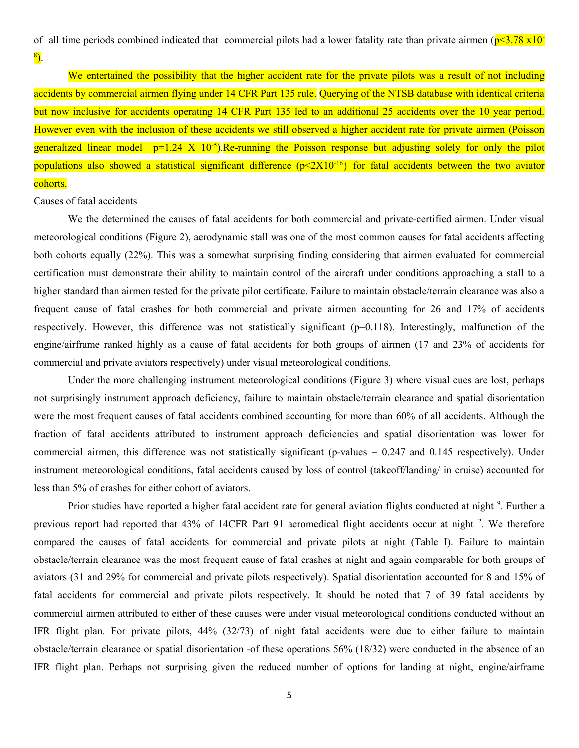of all time periods combined indicated that commercial pilots had a lower fatality rate than private airmen ( $p<3.78 \times 10^{-7}$ <sup>8</sup>).

We entertained the possibility that the higher accident rate for the private pilots was a result of not including accidents by commercial airmen flying under 14 CFR Part 135 rule. Querying of the NTSB database with identical criteria but now inclusive for accidents operating 14 CFR Part 135 led to an additional 25 accidents over the 10 year period. However even with the inclusion of these accidents we still observed a higher accident rate for private airmen (Poisson generalized linear model  $p=1.24 \times 10^{-5}$ . Re-running the Poisson response but adjusting solely for only the pilot populations also showed a statistical significant difference  $(p< 2X10^{-16})$  for fatal accidents between the two aviator cohorts.

#### Causes of fatal accidents

We the determined the causes of fatal accidents for both commercial and private-certified airmen. Under visual meteorological conditions (Figure 2), aerodynamic stall was one of the most common causes for fatal accidents affecting both cohorts equally (22%). This was a somewhat surprising finding considering that airmen evaluated for commercial certification must demonstrate their ability to maintain control of the aircraft under conditions approaching a stall to a higher standard than airmen tested for the private pilot certificate. Failure to maintain obstacle/terrain clearance was also a frequent cause of fatal crashes for both commercial and private airmen accounting for 26 and 17% of accidents respectively. However, this difference was not statistically significant (p=0.118). Interestingly, malfunction of the engine/airframe ranked highly as a cause of fatal accidents for both groups of airmen (17 and 23% of accidents for commercial and private aviators respectively) under visual meteorological conditions.

Under the more challenging instrument meteorological conditions (Figure 3) where visual cues are lost, perhaps not surprisingly instrument approach deficiency, failure to maintain obstacle/terrain clearance and spatial disorientation were the most frequent causes of fatal accidents combined accounting for more than 60% of all accidents. Although the fraction of fatal accidents attributed to instrument approach deficiencies and spatial disorientation was lower for commercial airmen, this difference was not statistically significant (p-values = 0.247 and 0.145 respectively). Under instrument meteorological conditions, fatal accidents caused by loss of control (takeoff/landing/ in cruise) accounted for less than 5% of crashes for either cohort of aviators.

Prior studies have reported a higher fatal accident rate for general aviation flights conducted at night <sup>9</sup>. Further a previous report had reported that 43% of 14CFR Part 91 aeromedical flight accidents occur at night <sup>2</sup>. We therefore compared the causes of fatal accidents for commercial and private pilots at night (Table I). Failure to maintain obstacle/terrain clearance was the most frequent cause of fatal crashes at night and again comparable for both groups of aviators (31 and 29% for commercial and private pilots respectively). Spatial disorientation accounted for 8 and 15% of fatal accidents for commercial and private pilots respectively. It should be noted that 7 of 39 fatal accidents by commercial airmen attributed to either of these causes were under visual meteorological conditions conducted without an IFR flight plan. For private pilots, 44% (32/73) of night fatal accidents were due to either failure to maintain obstacle/terrain clearance or spatial disorientation -of these operations 56% (18/32) were conducted in the absence of an IFR flight plan. Perhaps not surprising given the reduced number of options for landing at night, engine/airframe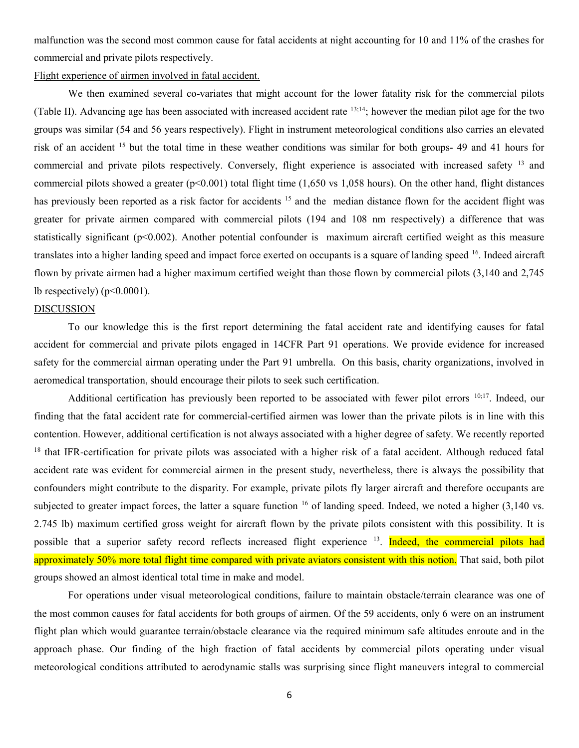malfunction was the second most common cause for fatal accidents at night accounting for 10 and 11% of the crashes for commercial and private pilots respectively.

### Flight experience of airmen involved in fatal accident.

 We then examined several co-variates that might account for the lower fatality risk for the commercial pilots (Table II). Advancing age has been associated with increased accident rate  $^{13;14}$ ; however the median pilot age for the two groups was similar (54 and 56 years respectively). Flight in instrument meteorological conditions also carries an elevated risk of an accident <sup>15</sup> but the total time in these weather conditions was similar for both groups- 49 and 41 hours for commercial and private pilots respectively. Conversely, flight experience is associated with increased safety <sup>13</sup> and commercial pilots showed a greater ( $p<0.001$ ) total flight time (1,650 vs 1,058 hours). On the other hand, flight distances has previously been reported as a risk factor for accidents <sup>15</sup> and the median distance flown for the accident flight was greater for private airmen compared with commercial pilots (194 and 108 nm respectively) a difference that was statistically significant ( $p<0.002$ ). Another potential confounder is maximum aircraft certified weight as this measure translates into a higher landing speed and impact force exerted on occupants is a square of landing speed <sup>16</sup>. Indeed aircraft flown by private airmen had a higher maximum certified weight than those flown by commercial pilots (3,140 and 2,745 lb respectively)  $(p<0.0001)$ .

#### DISCUSSION

To our knowledge this is the first report determining the fatal accident rate and identifying causes for fatal accident for commercial and private pilots engaged in 14CFR Part 91 operations. We provide evidence for increased safety for the commercial airman operating under the Part 91 umbrella. On this basis, charity organizations, involved in aeromedical transportation, should encourage their pilots to seek such certification.

Additional certification has previously been reported to be associated with fewer pilot errors  $10;17$ . Indeed, our finding that the fatal accident rate for commercial-certified airmen was lower than the private pilots is in line with this contention. However, additional certification is not always associated with a higher degree of safety. We recently reported <sup>18</sup> that IFR-certification for private pilots was associated with a higher risk of a fatal accident. Although reduced fatal accident rate was evident for commercial airmen in the present study, nevertheless, there is always the possibility that confounders might contribute to the disparity. For example, private pilots fly larger aircraft and therefore occupants are subjected to greater impact forces, the latter a square function  $16$  of landing speed. Indeed, we noted a higher (3,140 vs. 2.745 lb) maximum certified gross weight for aircraft flown by the private pilots consistent with this possibility. It is possible that a superior safety record reflects increased flight experience <sup>13</sup>. Indeed, the commercial pilots had approximately 50% more total flight time compared with private aviators consistent with this notion. That said, both pilot groups showed an almost identical total time in make and model.

For operations under visual meteorological conditions, failure to maintain obstacle/terrain clearance was one of the most common causes for fatal accidents for both groups of airmen. Of the 59 accidents, only 6 were on an instrument flight plan which would guarantee terrain/obstacle clearance via the required minimum safe altitudes enroute and in the approach phase. Our finding of the high fraction of fatal accidents by commercial pilots operating under visual meteorological conditions attributed to aerodynamic stalls was surprising since flight maneuvers integral to commercial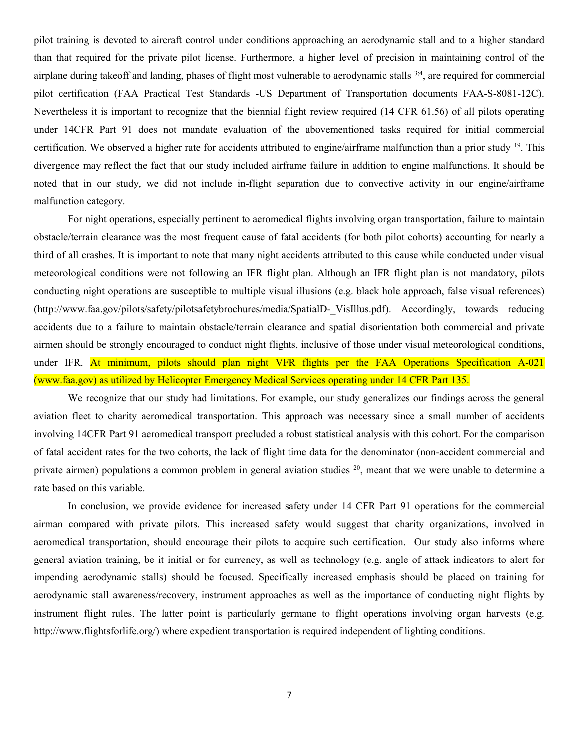pilot training is devoted to aircraft control under conditions approaching an aerodynamic stall and to a higher standard than that required for the private pilot license. Furthermore, a higher level of precision in maintaining control of the airplane during takeoff and landing, phases of flight most vulnerable to aerodynamic stalls  $3,4$ , are required for commercial pilot certification (FAA Practical Test Standards -US Department of Transportation documents FAA-S-8081-12C). Nevertheless it is important to recognize that the biennial flight review required (14 CFR 61.56) of all pilots operating under 14CFR Part 91 does not mandate evaluation of the abovementioned tasks required for initial commercial certification. We observed a higher rate for accidents attributed to engine/airframe malfunction than a prior study  $^{19}$ . This divergence may reflect the fact that our study included airframe failure in addition to engine malfunctions. It should be noted that in our study, we did not include in-flight separation due to convective activity in our engine/airframe malfunction category.

For night operations, especially pertinent to aeromedical flights involving organ transportation, failure to maintain obstacle/terrain clearance was the most frequent cause of fatal accidents (for both pilot cohorts) accounting for nearly a third of all crashes. It is important to note that many night accidents attributed to this cause while conducted under visual meteorological conditions were not following an IFR flight plan. Although an IFR flight plan is not mandatory, pilots conducting night operations are susceptible to multiple visual illusions (e.g. black hole approach, false visual references) (http://www.faa.gov/pilots/safety/pilotsafetybrochures/media/SpatialD-\_VisIllus.pdf). Accordingly, towards reducing accidents due to a failure to maintain obstacle/terrain clearance and spatial disorientation both commercial and private airmen should be strongly encouraged to conduct night flights, inclusive of those under visual meteorological conditions, under IFR. At minimum, pilots should plan night VFR flights per the FAA Operations Specification A-021 (www.faa.gov) as utilized by Helicopter Emergency Medical Services operating under 14 CFR Part 135.

We recognize that our study had limitations. For example, our study generalizes our findings across the general aviation fleet to charity aeromedical transportation. This approach was necessary since a small number of accidents involving 14CFR Part 91 aeromedical transport precluded a robust statistical analysis with this cohort. For the comparison of fatal accident rates for the two cohorts, the lack of flight time data for the denominator (non-accident commercial and private airmen) populations a common problem in general aviation studies  $^{20}$ , meant that we were unable to determine a rate based on this variable.

In conclusion, we provide evidence for increased safety under 14 CFR Part 91 operations for the commercial airman compared with private pilots. This increased safety would suggest that charity organizations, involved in aeromedical transportation, should encourage their pilots to acquire such certification. Our study also informs where general aviation training, be it initial or for currency, as well as technology (e.g. angle of attack indicators to alert for impending aerodynamic stalls) should be focused. Specifically increased emphasis should be placed on training for aerodynamic stall awareness/recovery, instrument approaches as well as the importance of conducting night flights by instrument flight rules. The latter point is particularly germane to flight operations involving organ harvests (e.g. http://www.flightsforlife.org/) where expedient transportation is required independent of lighting conditions.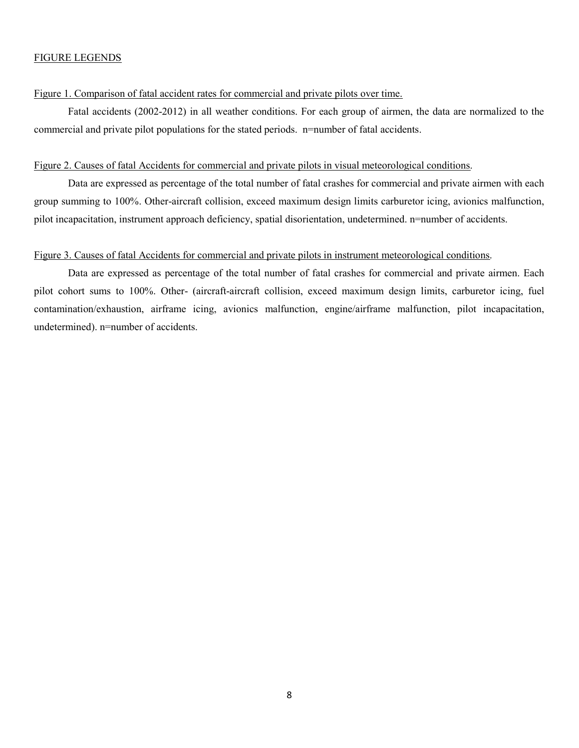#### FIGURE LEGENDS

#### Figure 1. Comparison of fatal accident rates for commercial and private pilots over time.

Fatal accidents (2002-2012) in all weather conditions. For each group of airmen, the data are normalized to the commercial and private pilot populations for the stated periods. n=number of fatal accidents.

#### Figure 2. Causes of fatal Accidents for commercial and private pilots in visual meteorological conditions.

 Data are expressed as percentage of the total number of fatal crashes for commercial and private airmen with each group summing to 100%. Other-aircraft collision, exceed maximum design limits carburetor icing, avionics malfunction, pilot incapacitation, instrument approach deficiency, spatial disorientation, undetermined. n=number of accidents.

#### Figure 3. Causes of fatal Accidents for commercial and private pilots in instrument meteorological conditions.

 Data are expressed as percentage of the total number of fatal crashes for commercial and private airmen. Each pilot cohort sums to 100%. Other- (aircraft-aircraft collision, exceed maximum design limits, carburetor icing, fuel contamination/exhaustion, airframe icing, avionics malfunction, engine/airframe malfunction, pilot incapacitation, undetermined). n=number of accidents.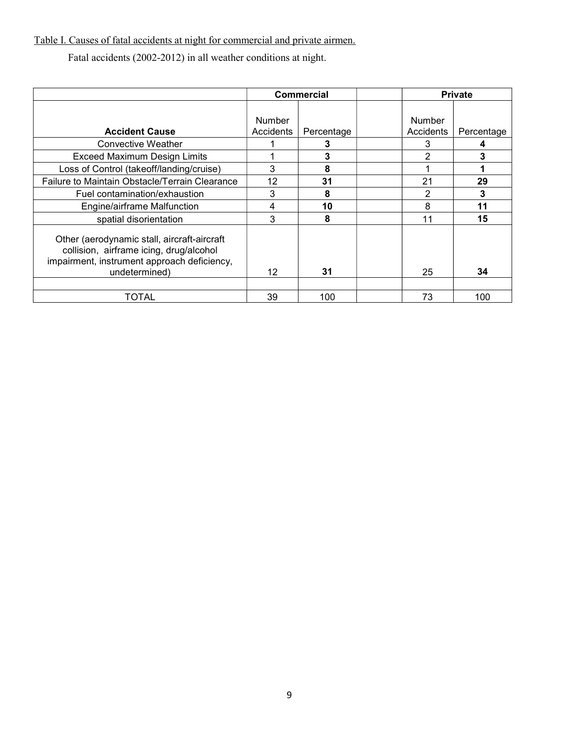Table I. Causes of fatal accidents at night for commercial and private airmen.

Fatal accidents (2002-2012) in all weather conditions at night.

|                                                                                                                                                        |                            | <b>Commercial</b> |  | <b>Private</b>             |            |
|--------------------------------------------------------------------------------------------------------------------------------------------------------|----------------------------|-------------------|--|----------------------------|------------|
| <b>Accident Cause</b>                                                                                                                                  | <b>Number</b><br>Accidents | Percentage        |  | <b>Number</b><br>Accidents | Percentage |
| Convective Weather                                                                                                                                     |                            | 3                 |  | 3                          |            |
| <b>Exceed Maximum Design Limits</b>                                                                                                                    |                            | 3                 |  | 2                          | 3          |
| Loss of Control (takeoff/landing/cruise)                                                                                                               | 3                          | 8                 |  |                            |            |
| Failure to Maintain Obstacle/Terrain Clearance                                                                                                         | 12                         | 31                |  | 21                         | 29         |
| Fuel contamination/exhaustion                                                                                                                          | 3                          | 8                 |  | 2                          | 3          |
| Engine/airframe Malfunction                                                                                                                            | 4                          | 10                |  | 8                          | 11         |
| spatial disorientation                                                                                                                                 | 3                          | 8                 |  | 11                         | 15         |
| Other (aerodynamic stall, aircraft-aircraft<br>collision, airframe icing, drug/alcohol<br>impairment, instrument approach deficiency,<br>undetermined) | 12                         | 31                |  | 25                         | 34         |
| <b>TOTAL</b>                                                                                                                                           | 39                         | 100               |  | 73                         | 100        |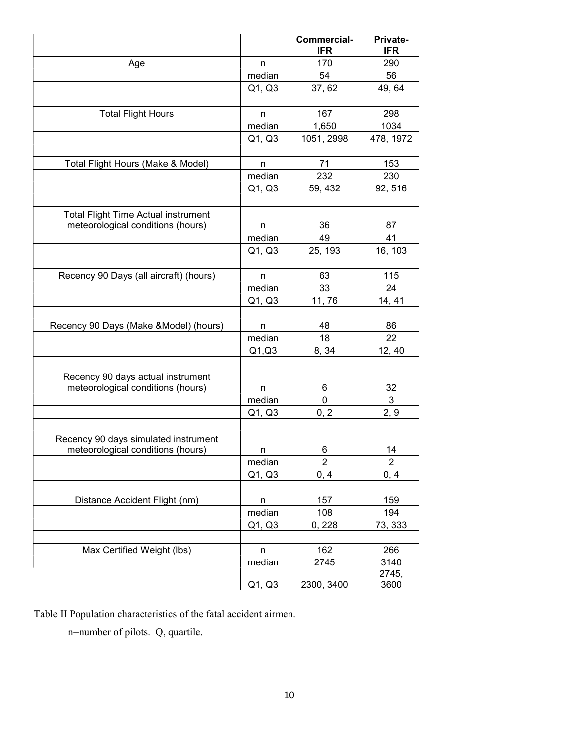|                                            |        | Commercial-    | Private-       |
|--------------------------------------------|--------|----------------|----------------|
|                                            |        | <b>IFR</b>     | <b>IFR</b>     |
| Age                                        | n      | 170            | 290            |
|                                            | median | 54             | 56             |
|                                            | Q1, Q3 | 37,62          | 49, 64         |
|                                            |        |                |                |
| <b>Total Flight Hours</b>                  | n      | 167            | 298            |
|                                            | median | 1,650          | 1034           |
|                                            | Q1, Q3 | 1051, 2998     | 478, 1972      |
|                                            |        |                |                |
| Total Flight Hours (Make & Model)          | n      | 71             | 153            |
|                                            | median | 232            | 230            |
|                                            | Q1, Q3 | 59, 432        | 92, 516        |
|                                            |        |                |                |
| <b>Total Flight Time Actual instrument</b> |        |                |                |
| meteorological conditions (hours)          | n      | 36             | 87             |
|                                            | median | 49             | 41             |
|                                            | Q1, Q3 | 25, 193        | 16, 103        |
|                                            |        |                |                |
| Recency 90 Days (all aircraft) (hours)     | n      | 63             | 115            |
|                                            | median | 33             | 24             |
|                                            | Q1, Q3 | 11,76          | 14, 41         |
|                                            |        |                |                |
| Recency 90 Days (Make & Model) (hours)     | n      | 48             | 86             |
|                                            | median | 18             | 22             |
|                                            | Q1,Q3  | 8, 34          | 12, 40         |
|                                            |        |                |                |
| Recency 90 days actual instrument          |        |                |                |
| meteorological conditions (hours)          | n      | 6              | 32             |
|                                            | median | 0              | 3              |
|                                            | Q1, Q3 | 0, 2           | 2, 9           |
|                                            |        |                |                |
| Recency 90 days simulated instrument       |        |                |                |
| meteorological conditions (hours)          | n      | 6              | 14             |
|                                            | median | $\overline{2}$ | $\overline{c}$ |
|                                            | Q1, Q3 | 0, 4           | 0, 4           |
|                                            |        |                |                |
| Distance Accident Flight (nm)              | n      | 157            | 159            |
|                                            | median | 108            | 194            |
|                                            | Q1, Q3 | 0, 228         | 73, 333        |
|                                            |        |                |                |
| Max Certified Weight (lbs)                 | n      | 162            | 266            |
|                                            | median | 2745           | 3140           |
|                                            |        |                | 2745,          |
|                                            | Q1, Q3 | 2300, 3400     | 3600           |

Table II Population characteristics of the fatal accident airmen.

n=number of pilots. Q, quartile.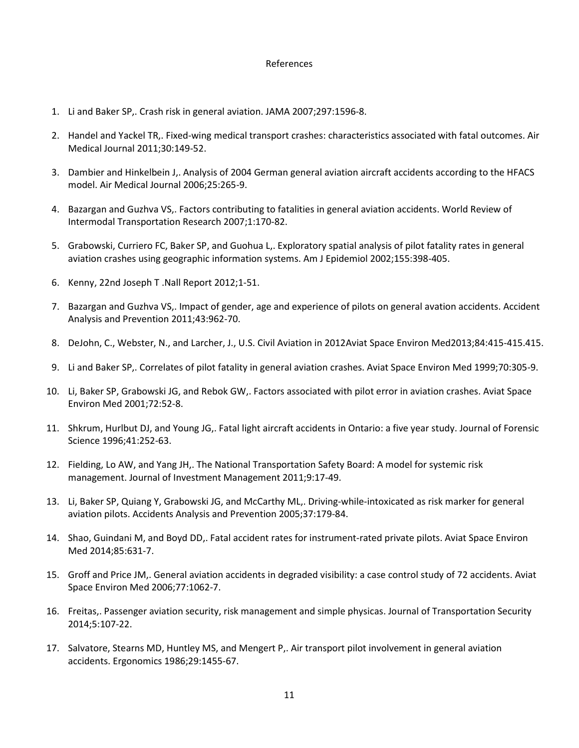#### References

- 1. Li and Baker SP,. Crash risk in general aviation. JAMA 2007;297:1596-8.
- 2. Handel and Yackel TR,. Fixed-wing medical transport crashes: characteristics associated with fatal outcomes. Air Medical Journal 2011;30:149-52.
- 3. Dambier and Hinkelbein J,. Analysis of 2004 German general aviation aircraft accidents according to the HFACS model. Air Medical Journal 2006;25:265-9.
- 4. Bazargan and Guzhva VS,. Factors contributing to fatalities in general aviation accidents. World Review of Intermodal Transportation Research 2007;1:170-82.
- 5. Grabowski, Curriero FC, Baker SP, and Guohua L,. Exploratory spatial analysis of pilot fatality rates in general aviation crashes using geographic information systems. Am J Epidemiol 2002;155:398-405.
- 6. Kenny, 22nd Joseph T .Nall Report 2012;1-51.
- 7. Bazargan and Guzhva VS,. Impact of gender, age and experience of pilots on general avation accidents. Accident Analysis and Prevention 2011;43:962-70.
- 8. DeJohn, C., Webster, N., and Larcher, J., U.S. Civil Aviation in 2012Aviat Space Environ Med2013;84:415-415.415.
- 9. Li and Baker SP,. Correlates of pilot fatality in general aviation crashes. Aviat Space Environ Med 1999;70:305-9.
- 10. Li, Baker SP, Grabowski JG, and Rebok GW,. Factors associated with pilot error in aviation crashes. Aviat Space Environ Med 2001;72:52-8.
- 11. Shkrum, Hurlbut DJ, and Young JG,. Fatal light aircraft accidents in Ontario: a five year study. Journal of Forensic Science 1996;41:252-63.
- 12. Fielding, Lo AW, and Yang JH,. The National Transportation Safety Board: A model for systemic risk management. Journal of Investment Management 2011;9:17-49.
- 13. Li, Baker SP, Quiang Y, Grabowski JG, and McCarthy ML,. Driving-while-intoxicated as risk marker for general aviation pilots. Accidents Analysis and Prevention 2005;37:179-84.
- 14. Shao, Guindani M, and Boyd DD,. Fatal accident rates for instrument-rated private pilots. Aviat Space Environ Med 2014;85:631-7.
- 15. Groff and Price JM,. General aviation accidents in degraded visibility: a case control study of 72 accidents. Aviat Space Environ Med 2006;77:1062-7.
- 16. Freitas,. Passenger aviation security, risk management and simple physicas. Journal of Transportation Security 2014;5:107-22.
- 17. Salvatore, Stearns MD, Huntley MS, and Mengert P,. Air transport pilot involvement in general aviation accidents. Ergonomics 1986;29:1455-67.